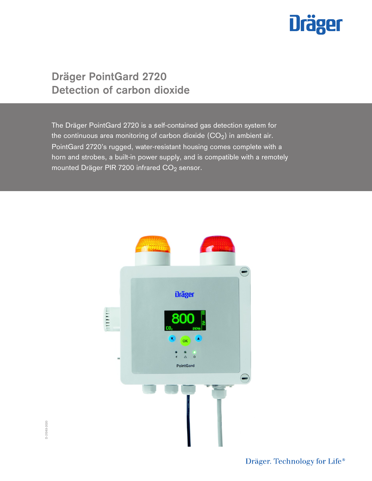# **Dräger**

# **Dräger PointGard 2720 Detection of carbon dioxide**

The Dräger PointGard 2720 is a self-contained gas detection system for the continuous area monitoring of carbon dioxide  $(CO_2)$  in ambient air. PointGard 2720's rugged, water-resistant housing comes complete with a horn and strobes, a built-in power supply, and is compatible with a remotely mounted Dräger PIR 7200 infrared  $CO<sub>2</sub>$  sensor.



Dräger. Technology for Life®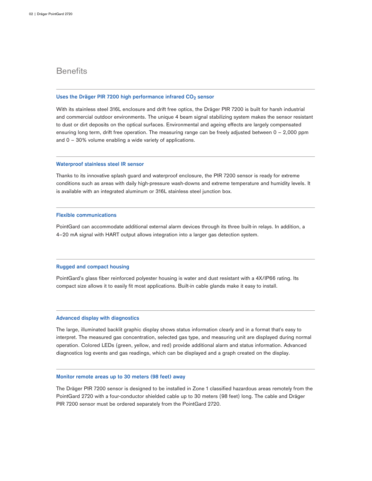### **Benefits**

#### **Uses the Dräger PIR 7200 high performance infrared CO2 sensor**

With its stainless steel 316L enclosure and drift free optics, the Dräger PIR 7200 is built for harsh industrial and commercial outdoor environments. The unique 4 beam signal stabilizing system makes the sensor resistant to dust or dirt deposits on the optical surfaces. Environmental and ageing effects are largely compensated ensuring long term, drift free operation. The measuring range can be freely adjusted between 0 – 2,000 ppm and 0 – 30% volume enabling a wide variety of applications.

#### **Waterproof stainless steel IR sensor**

Thanks to its innovative splash guard and waterproof enclosure, the PIR 7200 sensor is ready for extreme conditions such as areas with daily high-pressure wash-downs and extreme temperature and humidity levels. It is available with an integrated aluminum or 316L stainless steel junction box.

#### **Flexible communications**

PointGard can accommodate additional external alarm devices through its three built-in relays. In addition, a 4–20 mA signal with HART output allows integration into a larger gas detection system.

#### **Rugged and compact housing**

PointGard's glass fiber reinforced polyester housing is water and dust resistant with a 4X/IP66 rating. Its compact size allows it to easily fit most applications. Built-in cable glands make it easy to install.

#### **Advanced display with diagnostics**

The large, illuminated backlit graphic display shows status information clearly and in a format that's easy to interpret. The measured gas concentration, selected gas type, and measuring unit are displayed during normal operation. Colored LEDs (green, yellow, and red) provide additional alarm and status information. Advanced diagnostics log events and gas readings, which can be displayed and a graph created on the display.

#### **Monitor remote areas up to 30 meters (98 feet) away**

The Dräger PIR 7200 sensor is designed to be installed in Zone 1 classified hazardous areas remotely from the PointGard 2720 with a four-conductor shielded cable up to 30 meters (98 feet) long. The cable and Dräger PIR 7200 sensor must be ordered separately from the PointGard 2720.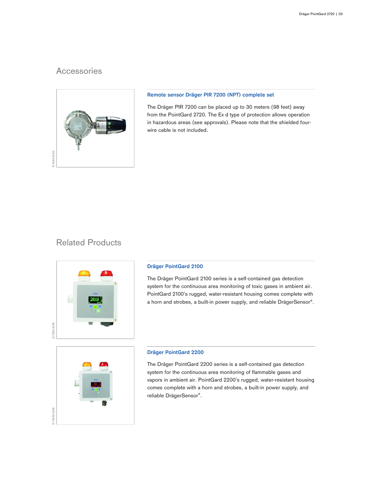## **Accessories**



#### **Remote sensor Dräger PIR 7200 (NPT) complete set**

The Dräger PIR 7200 can be placed up to 30 meters (98 feet) away from the PointGard 2720. The Ex d type of protection allows operation in hazardous areas (see approvals). Please note that the shielded fourwire cable is not included.

### Related Products



#### **Dräger PointGard 2100**

The Dräger PointGard 2100 series is a self-contained gas detection system for the continuous area monitoring of toxic gases in ambient air. PointGard 2100's rugged, water-resistant housing comes complete with a horn and strobes, a built-in power supply, and reliable DrägerSensor®.



#### **Dräger PointGard 2200**

The Dräger PointGard 2200 series is a self-contained gas detection system for the continuous area monitoring of flammable gases and vapors in ambient air. PointGard 2200's rugged, water-resistant housing comes complete with a horn and strobes, a built-in power supply, and reliable DrägerSensor®.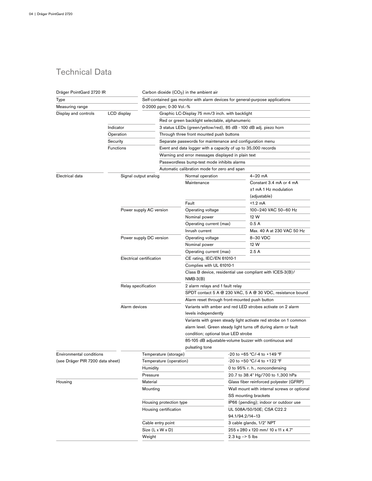# Technical Data

| Dräger PointGard 2720 IR         |                          |                         |                                                                                       | Carbon dioxide $(CO2)$ in the ambient air                                                |                                            |                                                                                |  |
|----------------------------------|--------------------------|-------------------------|---------------------------------------------------------------------------------------|------------------------------------------------------------------------------------------|--------------------------------------------|--------------------------------------------------------------------------------|--|
| Type                             |                          |                         |                                                                                       |                                                                                          |                                            | Self-contained gas monitor with alarm devices for general-purpose applications |  |
| Measuring range                  |                          |                         | 0-2000 ppm; 0-30 Vol.-%                                                               |                                                                                          |                                            |                                                                                |  |
| Display and controls             | LCD display              |                         |                                                                                       | Graphic LC-Display 75 mm/3 inch. with backlight                                          |                                            |                                                                                |  |
|                                  |                          |                         |                                                                                       | Red or green backlight selectable, alphanumeric                                          |                                            |                                                                                |  |
|                                  | Indicator                |                         |                                                                                       | 3 status LEDs (green/yellow/red), 85 dB - 100 dB adj. piezo horn                         |                                            |                                                                                |  |
|                                  | Operation                |                         |                                                                                       | Through three front mounted push buttons                                                 |                                            |                                                                                |  |
|                                  | Security                 |                         |                                                                                       | Separate passwords for maintenance and configuration menu                                |                                            |                                                                                |  |
|                                  | <b>Functions</b>         |                         |                                                                                       | Event and data logger with a capacity of up to 35,000 records                            |                                            |                                                                                |  |
|                                  |                          |                         |                                                                                       | Warning and error messages displayed in plain text                                       |                                            |                                                                                |  |
|                                  |                          |                         |                                                                                       | Passwordless bump-test mode inhibits alarms                                              |                                            |                                                                                |  |
|                                  |                          |                         |                                                                                       | Automatic calibration mode for zero and span                                             |                                            |                                                                                |  |
| Electrical data                  |                          | Signal output analog    |                                                                                       | Normal operation                                                                         |                                            | $4 - 20$ mA                                                                    |  |
|                                  |                          |                         |                                                                                       | Maintenance                                                                              |                                            | Constant 3.4 mA or 4 mA                                                        |  |
|                                  |                          |                         |                                                                                       |                                                                                          |                                            | ±1 mA 1 Hz modulation                                                          |  |
|                                  |                          |                         |                                                                                       |                                                                                          |                                            | (adjustable)                                                                   |  |
|                                  |                          |                         |                                                                                       | Fault                                                                                    |                                            | <1.2 mA                                                                        |  |
|                                  |                          | Power supply AC version |                                                                                       | Operating voltage                                                                        |                                            | 100-240 VAC 50-60 Hz                                                           |  |
|                                  |                          |                         |                                                                                       | Nominal power                                                                            |                                            | 12 W                                                                           |  |
|                                  |                          |                         |                                                                                       | Operating current (max)                                                                  |                                            | 0.5A                                                                           |  |
|                                  |                          |                         |                                                                                       | Inrush current                                                                           |                                            | Max. 40 A at 230 VAC 50 Hz                                                     |  |
|                                  |                          | Power supply DC version |                                                                                       | Operating voltage                                                                        |                                            | 8-30 VDC                                                                       |  |
|                                  |                          |                         |                                                                                       | Nominal power                                                                            |                                            | 12 W                                                                           |  |
|                                  |                          |                         |                                                                                       | Operating current (max)                                                                  |                                            | 2.5A                                                                           |  |
|                                  |                          |                         |                                                                                       |                                                                                          |                                            |                                                                                |  |
|                                  | Electrical certification |                         |                                                                                       | CE rating, IEC/EN 61010-1                                                                |                                            |                                                                                |  |
|                                  | Relay specification      |                         | Complies with UL 61010-1<br>Class B device, residential use compliant with ICES-3(B)/ |                                                                                          |                                            |                                                                                |  |
|                                  |                          |                         | $NMB-3(B)$                                                                            |                                                                                          |                                            |                                                                                |  |
|                                  |                          |                         |                                                                                       | 2 alarm relays and 1 fault relay                                                         |                                            |                                                                                |  |
|                                  |                          |                         |                                                                                       | SPDT contact 5 A @ 230 VAC, 5 A @ 30 VDC, resistance bound                               |                                            |                                                                                |  |
|                                  |                          |                         |                                                                                       | Alarm reset through front-mounted push button                                            |                                            |                                                                                |  |
|                                  |                          | Alarm devices           |                                                                                       | Variants with amber and red LED strobes activate on 2 alarm                              |                                            |                                                                                |  |
|                                  |                          |                         |                                                                                       | levels independently<br>Variants with green steady light activate red strobe on 1 common |                                            |                                                                                |  |
|                                  |                          |                         |                                                                                       |                                                                                          |                                            |                                                                                |  |
|                                  |                          |                         |                                                                                       |                                                                                          |                                            | alarm level. Green steady light turns off during alarm or fault                |  |
|                                  |                          |                         |                                                                                       | condition; optional blue LED strobe                                                      |                                            |                                                                                |  |
|                                  |                          |                         |                                                                                       |                                                                                          |                                            | 85-105 dB adjustable-volume buzzer with continuous and                         |  |
|                                  |                          |                         |                                                                                       | pulsating tone                                                                           |                                            |                                                                                |  |
| Environmental conditions         |                          |                         | Temperature (storage)                                                                 |                                                                                          |                                            | -20 to +65 °C/-4 to +149 °F                                                    |  |
| (see Dräger PIR 7200 data sheet) |                          |                         | Temperature (operation)                                                               |                                                                                          |                                            | -20 to +50 °C/-4 to +122 °F                                                    |  |
|                                  |                          | Humidity                |                                                                                       |                                                                                          |                                            | 0 to 95% r. h., noncondensing                                                  |  |
|                                  |                          | Pressure                |                                                                                       |                                                                                          |                                            | 20.7 to 38.4" Hg/700 to 1,300 hPa                                              |  |
| Housing                          |                          | Material                |                                                                                       |                                                                                          |                                            | Glass fiber reinforced polyester (GFRP)                                        |  |
|                                  |                          | Mounting                |                                                                                       |                                                                                          |                                            | Wall mount with internal screws or optional                                    |  |
|                                  |                          |                         |                                                                                       |                                                                                          |                                            | SS mounting brackets                                                           |  |
|                                  |                          |                         | Housing protection type                                                               |                                                                                          |                                            | IP66 (pending); indoor or outdoor use                                          |  |
|                                  |                          |                         |                                                                                       | Housing certification                                                                    |                                            | UL 508A/50/50E; CSA C22.2                                                      |  |
|                                  |                          |                         |                                                                                       |                                                                                          |                                            | 94.1/94.2/14-13                                                                |  |
|                                  |                          |                         | Cable entry point                                                                     |                                                                                          |                                            | 3 cable glands, 1/2" NPT                                                       |  |
|                                  |                          |                         | Size (L x W x D)                                                                      |                                                                                          |                                            | 255 x 280 x 120 mm/ 10 x 11 x 4.7"                                             |  |
|                                  |                          | Weight                  |                                                                                       |                                                                                          | $2.3 \text{ kg} \rightarrow 5 \text{ lbs}$ |                                                                                |  |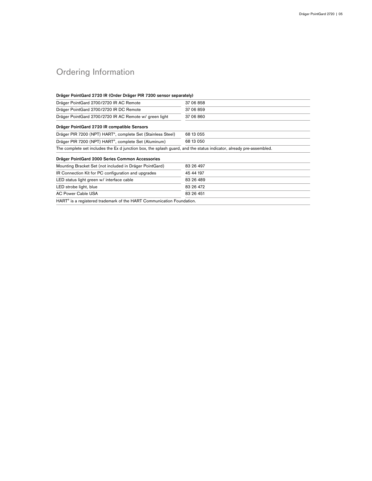# Ordering Information

| Dräger PointGard 2700/2720 IR AC Remote                                                                             | 37 06 858 |  |  |
|---------------------------------------------------------------------------------------------------------------------|-----------|--|--|
|                                                                                                                     |           |  |  |
| Dräger PointGard 2700/2720 IR DC Remote                                                                             | 37 06 859 |  |  |
| Dräger PointGard 2700/2720 IR AC Remote w/ green light                                                              | 37 06 860 |  |  |
| Dräger PointGard 2720 IR compatible Sensors                                                                         |           |  |  |
| Dräger PIR 7200 (NPT) HART <sup>®</sup> , complete Set (Stainless Steel)                                            | 68 13 055 |  |  |
|                                                                                                                     | 68 13 050 |  |  |
| Dräger PIR 7200 (NPT) HART <sup>®</sup> , complete Set (Aluminum)                                                   |           |  |  |
| The complete set includes the Ex d junction box, the splash guard, and the status indicator, already pre-assembled. |           |  |  |
| Dräger PointGard 2000 Series Common Accessories                                                                     |           |  |  |
| Mounting Bracket Set (not included in Dräger PointGard)                                                             | 83 26 497 |  |  |
| IR Connection Kit for PC configuration and upgrades                                                                 | 45 44 197 |  |  |
| LED status light green w/ interface cable                                                                           | 83 26 489 |  |  |
| LED strobe light, blue                                                                                              | 83 26 472 |  |  |